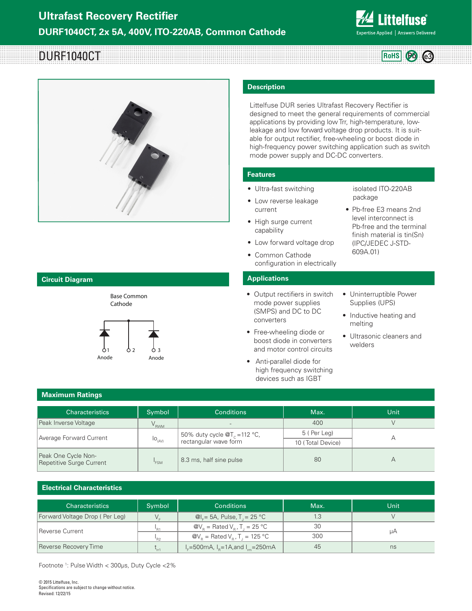

**RoHS Pb e3**

# DURF1040CT



#### **Circuit Diagram**



Base Common

#### **Description**

Littelfuse DUR series Ultrafast Recovery Rectifier is designed to meet the general requirements of commercial applications by providing low Trr, high-temperature, lowleakage and low forward voltage drop products. It is suitable for output rectifier, free-wheeling or boost diode in high-frequency power switching application such as switch mode power supply and DC-DC converters.

#### **Features**

- Ultra-fast switching
- Low reverse leakage current
- isolated ITO-220AB package • Pb-free E3 means 2nd

level interconnect is Pb-free and the terminal finish material is tin(Sn) (IPC/JEDEC J-STD-

609A.01)

- High surge current capability
- Low forward voltage drop
- Common Cathode configuration in electrically

#### **Applications**

- Output rectifiers in switch mode power supplies (SMPS) and DC to DC converters
- Free-wheeling diode or boost diode in converters and motor control circuits
- Anti-parallel diode for high frequency switching devices such as IGBT
- Uninterruptible Power Supplies (UPS)
- Inductive heating and melting
- Ultrasonic cleaners and welders

#### **Maximum Ratings**

| Characteristics                                 | Symbol                                                  | <b>Conditions</b>                                                   | Max.              | Unit |  |
|-------------------------------------------------|---------------------------------------------------------|---------------------------------------------------------------------|-------------------|------|--|
| Peak Inverse Voltage                            | $V_{RWM}$                                               | $\sim$                                                              | 400               |      |  |
| Average Forward Current                         | $I_{\bigcirc}{\mathcal{O}}_{\langle\mathbb{AV}\rangle}$ | 50% duty cycle $\mathscr{A}_{C}$ = 112 °C,<br>rectangular wave form | 5 (Per Leg)       |      |  |
|                                                 |                                                         |                                                                     | 10 (Total Device) |      |  |
| Peak One Cycle Non-<br>Repetitive Surge Current | 8.3 ms, half sine pulse<br><sup>'</sup> FSM             |                                                                     | 80                |      |  |

#### **Electrical Characteristics**

| EICULTUAI UNAIAUCHOLIUS        |            |                                                                                |      |      |
|--------------------------------|------------|--------------------------------------------------------------------------------|------|------|
| <b>Characteristics</b>         | Symbol     | <b>Conditions</b>                                                              | Max. | Unit |
| Forward Voltage Drop (Per Leg) |            | @I <sub>r</sub> = 5A, Pulse, T = 25 °C                                         | 1.3  |      |
| Reverse Current                |            | $\mathcal{Q}V_{\rm B}$ = Rated $V_{\rm B}$ , T <sub>1</sub> = 25 °C            | 30   |      |
|                                |            | $\omega_{\text{R}} = \text{Rated V}_{\text{R}}$ , T <sub>1</sub> = 125 °C      | 300  | μA   |
| Reverse Recovery Time          | $\sim$ rr1 | $I_{E} = 500 \text{mA}, I_{R} = 1 \text{A}, \text{and } I_{m} = 250 \text{mA}$ | 45   | ns   |

Footnote 1 : Pulse Width < 300μs, Duty Cycle <2%

© 2015 Littelfuse, Inc. Specifications are subject to change without notice. Revised: 12/22/15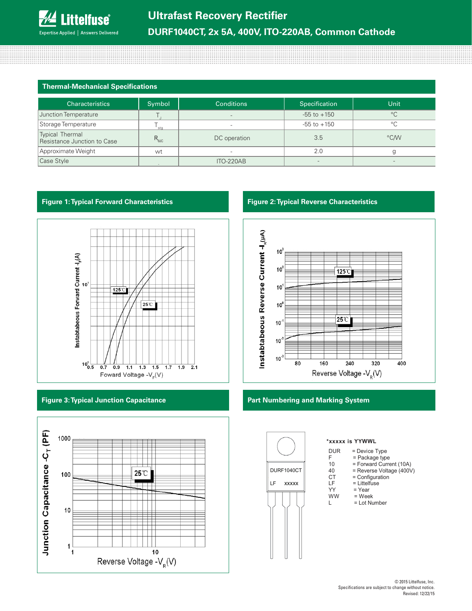## **Thermal-Mechanical Specifications**

| <b>Characteristics</b>                         | Symbol           | <b>Conditions</b>        | Specification   | <b>Unit</b>  |
|------------------------------------------------|------------------|--------------------------|-----------------|--------------|
| Junction Temperature                           |                  | $\overline{\phantom{a}}$ | $-55$ to $+150$ | $^{\circ}$ C |
| Storage Temperature                            | sta              |                          | $-55$ to $+150$ | $^{\circ}$ C |
| Typical Thermal<br>Resistance Junction to Case | $R_{\text{euc}}$ | DC operation             | 3.5             | °C/W         |
| Approximate Weight                             | wt               | $\overline{\phantom{a}}$ | 2.0             |              |
| Case Style                                     |                  | ITO-220AB                |                 |              |

#### **Figure 1: Typical Forward Characteristics Figure 2: Typical Reverse Characteristics**



### **Figure 3: Typical Junction Capacitance**





#### **Part Numbering and Marking System**



#### **\*xxxxx is YYWWL**

- $DUR = Device Type$ <br> $E = Packaae$  type
- $F =$  Package type<br>10 = Forward Curre
- 10 = Forward Current (10A)<br>40 = Reverse Voltage (400V)

- 40 = Reverse Voltage (400V)<br>CT = Configuration
- $CT =$  Configuration<br>  $LF =$  Littelfuse LF = Littelfuse<br>YY = Year
- YY = Year<br>WW = Wee  $=$  Week
- L = Lot Number